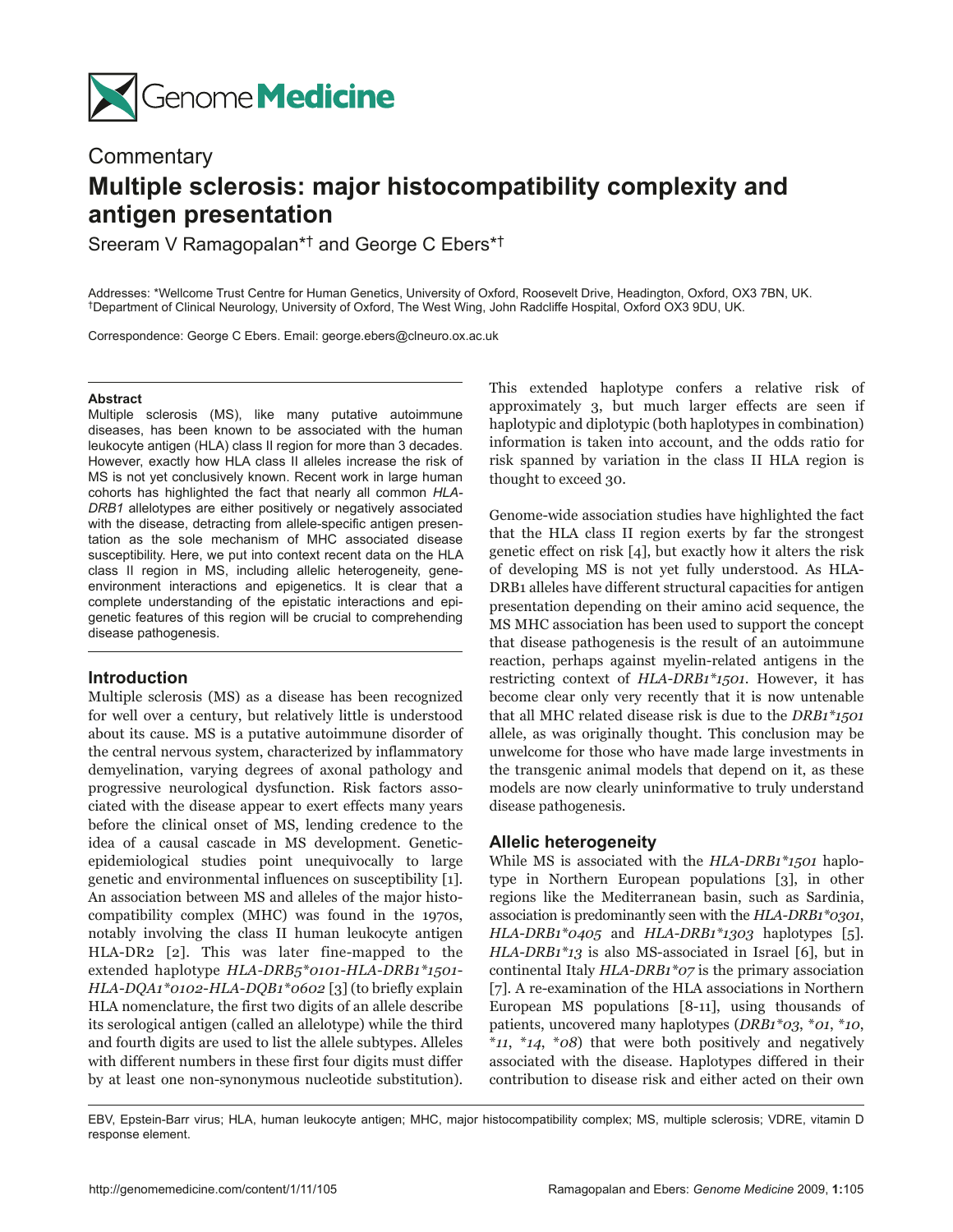

# **Commentary Multiple sclerosis: major histocompatibility complexity and antigen presentation**

Sreeram V Ramagopalan\*† and George C Ebers\*†

Addresses: \*Wellcome Trust Centre for Human Genetics, University of Oxford, Roosevelt Drive, Headington, Oxford, OX3 7BN, UK. †Department of Clinical Neurology, University of Oxford, The West Wing, John Radcliffe Hospital, Oxford OX3 9DU, UK.

Correspondence: George C Ebers. Email: george.ebers@clneuro.ox.ac.uk

#### **Abstract**

Multiple sclerosis (MS), like many putative autoimmune diseases, has been known to be associated with the human leukocyte antigen (HLA) class II region for more than 3 decades. However, exactly how HLA class II alleles increase the risk of MS is not yet conclusively known. Recent work in large human cohorts has highlighted the fact that nearly all common *HLA-DRB1* allelotypes are either positively or negatively associated with the disease, detracting from allele-specific antigen presentation as the sole mechanism of MHC associated disease susceptibility. Here, we put into context recent data on the HLA class II region in MS, including allelic heterogeneity, geneenvironment interactions and epigenetics. It is clear that a complete understanding of the epistatic interactions and epigenetic features of this region will be crucial to comprehending disease pathogenesis.

## **Introduction**

Multiple sclerosis (MS) as a disease has been recognized for well over a century, but relatively little is understood about its cause. MS is a putative autoimmune disorder of the central nervous system, characterized by inflammatory demyelination, varying degrees of axonal pathology and progressive neurological dysfunction. Risk factors associated with the disease appear to exert effects many years before the clinical onset of MS, lending credence to the idea of a causal cascade in MS development. Geneticepidemiological studies point unequivocally to large genetic and environmental influences on susceptibility [1]. An association between MS and alleles of the major histocompatibility complex (MHC) was found in the 1970s, notably involving the class II human leukocyte antigen HLA-DR2 [2]. This was later fine-mapped to the extended haplotype *HLA-DRB5\*0101*-*HLA-DRB1\*1501*-*HLA-DQA1\*0102*-*HLA-DQB1\*0602* [3] (to briefly explain HLA nomenclature, the first two digits of an allele describe its serological antigen (called an allelotype) while the third and fourth digits are used to list the allele subtypes. Alleles with different numbers in these first four digits must differ by at least one non-synonymous nucleotide substitution).

This extended haplotype confers a relative risk of approximately 3, but much larger effects are seen if haplotypic and diplotypic (both haplotypes in combination) information is taken into account, and the odds ratio for risk spanned by variation in the class II HLA region is thought to exceed 30.

Genome-wide association studies have highlighted the fact that the HLA class II region exerts by far the strongest genetic effect on risk [4], but exactly how it alters the risk of developing MS is not yet fully understood. As HLA-DRB1 alleles have different structural capacities for antigen presentation depending on their amino acid sequence, the MS MHC association has been used to support the concept that disease pathogenesis is the result of an autoimmune reaction, perhaps against myelin-related antigens in the restricting context of *HLA-DRB1\*1501*. However, it has become clear only very recently that it is now untenable that all MHC related disease risk is due to the *DRB1\*1501* allele, as was originally thought. This conclusion may be unwelcome for those who have made large investments in the transgenic animal models that depend on it, as these models are now clearly uninformative to truly understand disease pathogenesis.

## **Allelic heterogeneity**

While MS is associated with the *HLA-DRB1\*1501* haplotype in Northern European populations [3], in other regions like the Mediterranean basin, such as Sardinia, association is predominantly seen with the *HLA-DRB1\*0301*, *HLA-DRB1\*0405* and *HLA-DRB1\*1303* haplotypes [5]. *HLA-DRB1\*13* is also MS-associated in Israel [6], but in continental Italy *HLA-DRB1\*07* is the primary association [7]. A re-examination of the HLA associations in Northern European MS populations [8-11], using thousands of patients, uncovered many haplotypes (*DRB1\*03*, \**01*, \**10*, \**11*, \**14*, \**08*) that were both positively and negatively associated with the disease. Haplotypes differed in their contribution to disease risk and either acted on their own

EBV, Epstein-Barr virus; HLA, human leukocyte antigen; MHC, major histocompatibility complex; MS, multiple sclerosis; VDRE, vitamin D response element.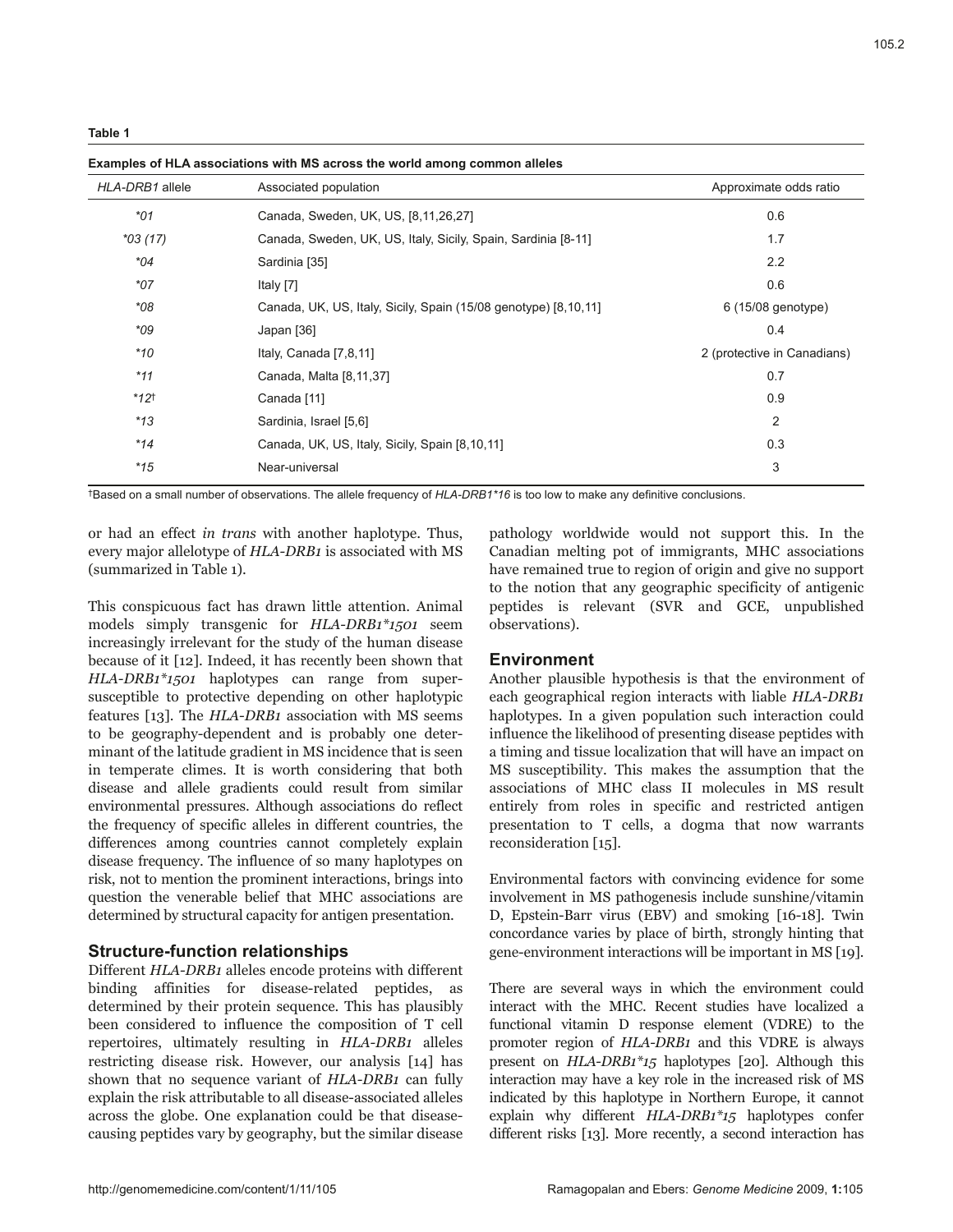| HLA-DRB1 allele    | Associated population                                           | Approximate odds ratio      |
|--------------------|-----------------------------------------------------------------|-----------------------------|
| $*$ 01             | Canada, Sweden, UK, US, [8,11,26,27]                            | 0.6                         |
| $*03(17)$          | Canada, Sweden, UK, US, Italy, Sicily, Spain, Sardinia [8-11]   | 1.7                         |
| *04                | Sardinia [35]                                                   | 2.2                         |
| $*07$              | Italy [7]                                                       | 0.6                         |
| $*08$              | Canada, UK, US, Italy, Sicily, Spain (15/08 genotype) [8,10,11] | 6 (15/08 genotype)          |
| $*$ 09             | Japan [36]                                                      | 0.4                         |
| $*10$              | Italy, Canada [7,8,11]                                          | 2 (protective in Canadians) |
| $*11$              | Canada, Malta [8,11,37]                                         | 0.7                         |
| $*12$ <sup>+</sup> | Canada [11]                                                     | 0.9                         |
| $*13$              | Sardinia, Israel [5,6]                                          | $\overline{2}$              |
| $*14$              | Canada, UK, US, Italy, Sicily, Spain [8,10,11]                  | 0.3                         |
| $*15$              | Near-universal                                                  | 3                           |

**Examples of HLA associations with MS across the world among common alleles**

†Based on a small number of observations. The allele frequency of *HLA-DRB1\*16* is too low to make any definitive conclusions.

or had an effect *in trans* with another haplotype. Thus, every major allelotype of *HLA-DRB1* is associated with MS (summarized in Table 1).

This conspicuous fact has drawn little attention. Animal models simply transgenic for *HLA-DRB1\*1501* seem increasingly irrelevant for the study of the human disease because of it [12]. Indeed, it has recently been shown that *HLA-DRB1\*1501* haplotypes can range from supersusceptible to protective depending on other haplotypic features [13]. The *HLA-DRB1* association with MS seems to be geography-dependent and is probably one determinant of the latitude gradient in MS incidence that is seen in temperate climes. It is worth considering that both disease and allele gradients could result from similar environmental pressures. Although associations do reflect the frequency of specific alleles in different countries, the differences among countries cannot completely explain disease frequency. The influence of so many haplotypes on risk, not to mention the prominent interactions, brings into question the venerable belief that MHC associations are determined by structural capacity for antigen presentation.

### **Structure-function relationships**

Different *HLA-DRB1* alleles encode proteins with different binding affinities for disease-related peptides, as determined by their protein sequence. This has plausibly been considered to influence the composition of T cell repertoires, ultimately resulting in *HLA-DRB1* alleles restricting disease risk. However, our analysis [14] has shown that no sequence variant of *HLA-DRB1* can fully explain the risk attributable to all disease-associated alleles across the globe. One explanation could be that diseasecausing peptides vary by geography, but the similar disease

pathology worldwide would not support this. In the Canadian melting pot of immigrants, MHC associations have remained true to region of origin and give no support to the notion that any geographic specificity of antigenic peptides is relevant (SVR and GCE, unpublished observations).

#### **Environment**

Another plausible hypothesis is that the environment of each geographical region interacts with liable *HLA-DRB1* haplotypes. In a given population such interaction could influence the likelihood of presenting disease peptides with a timing and tissue localization that will have an impact on MS susceptibility. This makes the assumption that the associations of MHC class II molecules in MS result entirely from roles in specific and restricted antigen presentation to T cells, a dogma that now warrants reconsideration [15].

Environmental factors with convincing evidence for some involvement in MS pathogenesis include sunshine/vitamin D, Epstein-Barr virus (EBV) and smoking [16-18]. Twin concordance varies by place of birth, strongly hinting that gene-environment interactions will be important in MS [19].

There are several ways in which the environment could interact with the MHC. Recent studies have localized a functional vitamin D response element (VDRE) to the promoter region of *HLA-DRB1* and this VDRE is always present on *HLA-DRB1\*15* haplotypes [20]. Although this interaction may have a key role in the increased risk of MS indicated by this haplotype in Northern Europe, it cannot explain why different *HLA-DRB1\*15* haplotypes confer different risks [13]. More recently, a second interaction has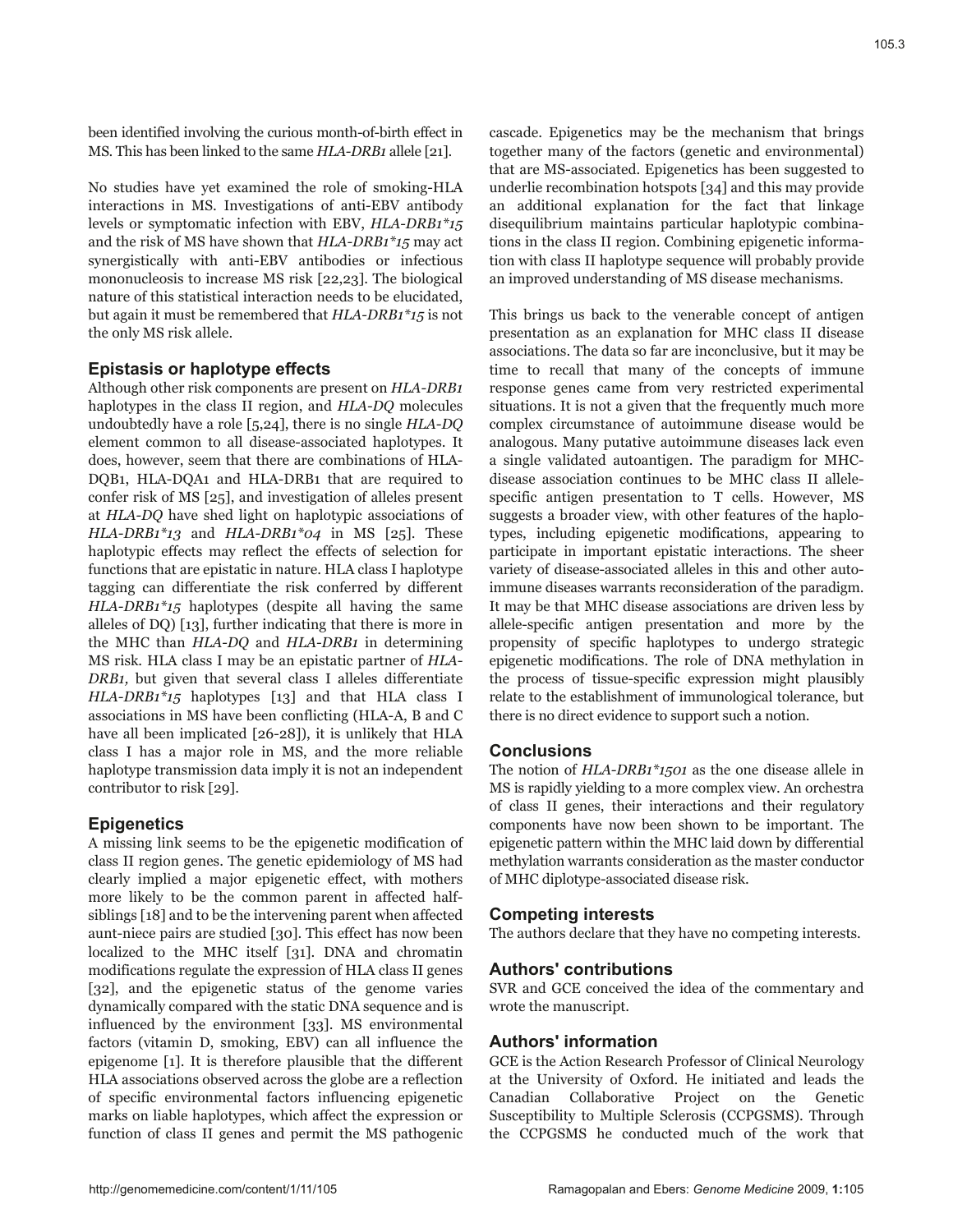been identified involving the curious month-of-birth effect in MS. This has been linked to the same *HLA-DRB1* allele [21].

No studies have yet examined the role of smoking-HLA interactions in MS. Investigations of anti-EBV antibody levels or symptomatic infection with EBV, *HLA-DRB1\*15* and the risk of MS have shown that *HLA-DRB1\*15* may act synergistically with anti-EBV antibodies or infectious mononucleosis to increase MS risk [22,23]. The biological nature of this statistical interaction needs to be elucidated, but again it must be remembered that *HLA-DRB1\*15* is not the only MS risk allele.

# **Epistasis or haplotype effects**

Although other risk components are present on *HLA-DRB1* haplotypes in the class II region, and *HLA-DQ* molecules undoubtedly have a role [5,24], there is no single *HLA-DQ* element common to all disease-associated haplotypes. It does, however, seem that there are combinations of HLA-DQB1, HLA-DQA1 and HLA-DRB1 that are required to confer risk of MS [25], and investigation of alleles present at *HLA-DQ* have shed light on haplotypic associations of *HLA-DRB1\*13* and *HLA-DRB1\*04* in MS [25]. These haplotypic effects may reflect the effects of selection for functions that are epistatic in nature. HLA class I haplotype tagging can differentiate the risk conferred by different *HLA-DRB1\*15* haplotypes (despite all having the same alleles of DQ) [13], further indicating that there is more in the MHC than *HLA-DQ* and *HLA-DRB1* in determining MS risk. HLA class I may be an epistatic partner of *HLA-DRB1,* but given that several class I alleles differentiate *HLA-DRB1\*15* haplotypes [13] and that HLA class I associations in MS have been conflicting (HLA-A, B and C have all been implicated [26-28]), it is unlikely that HLA class I has a major role in MS, and the more reliable haplotype transmission data imply it is not an independent contributor to risk [29].

# **Epigenetics**

A missing link seems to be the epigenetic modification of class II region genes. The genetic epidemiology of MS had clearly implied a major epigenetic effect, with mothers more likely to be the common parent in affected halfsiblings [18] and to be the intervening parent when affected aunt-niece pairs are studied [30]. This effect has now been localized to the MHC itself [31]. DNA and chromatin modifications regulate the expression of HLA class II genes [32], and the epigenetic status of the genome varies dynamically compared with the static DNA sequence and is influenced by the environment [33]. MS environmental factors (vitamin D, smoking, EBV) can all influence the epigenome [1]. It is therefore plausible that the different HLA associations observed across the globe are a reflection of specific environmental factors influencing epigenetic marks on liable haplotypes, which affect the expression or function of class II genes and permit the MS pathogenic

cascade. Epigenetics may be the mechanism that brings together many of the factors (genetic and environmental) that are MS-associated. Epigenetics has been suggested to underlie recombination hotspots [34] and this may provide an additional explanation for the fact that linkage disequilibrium maintains particular haplotypic combinations in the class II region. Combining epigenetic information with class II haplotype sequence will probably provide an improved understanding of MS disease mechanisms.

This brings us back to the venerable concept of antigen presentation as an explanation for MHC class II disease associations. The data so far are inconclusive, but it may be time to recall that many of the concepts of immune response genes came from very restricted experimental situations. It is not a given that the frequently much more complex circumstance of autoimmune disease would be analogous. Many putative autoimmune diseases lack even a single validated autoantigen. The paradigm for MHCdisease association continues to be MHC class II allelespecific antigen presentation to T cells. However, MS suggests a broader view, with other features of the haplotypes, including epigenetic modifications, appearing to participate in important epistatic interactions. The sheer variety of disease-associated alleles in this and other autoimmune diseases warrants reconsideration of the paradigm. It may be that MHC disease associations are driven less by allele-specific antigen presentation and more by the propensity of specific haplotypes to undergo strategic epigenetic modifications. The role of DNA methylation in the process of tissue-specific expression might plausibly relate to the establishment of immunological tolerance, but there is no direct evidence to support such a notion.

## **Conclusions**

The notion of *HLA-DRB1\*1501* as the one disease allele in MS is rapidly yielding to a more complex view. An orchestra of class II genes, their interactions and their regulatory components have now been shown to be important. The epigenetic pattern within the MHC laid down by differential methylation warrants consideration as the master conductor of MHC diplotype-associated disease risk.

# **Competing interests**

The authors declare that they have no competing interests.

## **Authors' contributions**

SVR and GCE conceived the idea of the commentary and wrote the manuscript.

## **Authors' information**

GCE is the Action Research Professor of Clinical Neurology at the University of Oxford. He initiated and leads the Canadian Collaborative Project on the Genetic Susceptibility to Multiple Sclerosis (CCPGSMS). Through the CCPGSMS he conducted much of the work that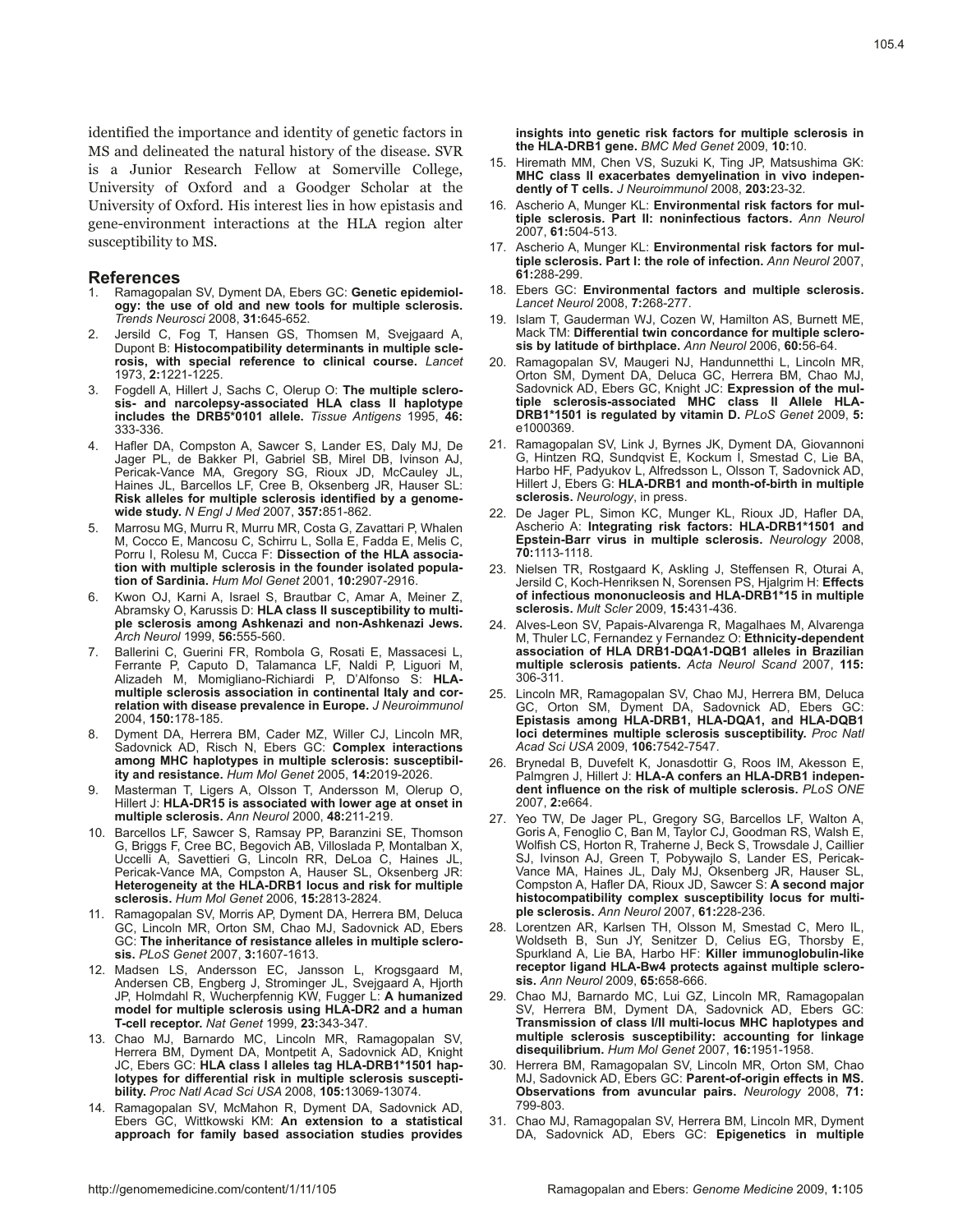identified the importance and identity of genetic factors in MS and delineated the natural history of the disease. SVR is a Junior Research Fellow at Somerville College, University of Oxford and a Goodger Scholar at the University of Oxford. His interest lies in how epistasis and gene-environment interactions at the HLA region alter susceptibility to MS.

#### **References**

- 1. Ramagopalan SV, Dyment DA, Ebers GC: **Genetic epidemiology: the use of old and new tools for multiple sclerosis.**  *Trends Neurosci* 2008, **31:**645-652.
- Jersild C, Fog T, Hansen GS, Thomsen M, Svejgaard A, Dupont B: **Histocompatibility determinants in multiple sclerosis, with special reference to clinical course.** *Lancet*  1973, **2:**1221-1225.
- 3. Fogdell A, Hillert J, Sachs C, Olerup O: **The multiple sclerosis- and narcolepsy-associated HLA class II haplotype includes the DRB5\*0101 allele.** *Tissue Antigens* 1995, **46:** 333-336.
- 4. Hafler DA, Compston A, Sawcer S, Lander ES, Daly MJ, De Jager PL, de Bakker PI, Gabriel SB, Mirel DB, Ivinson AJ, Pericak-Vance MA, Gregory SG, Rioux JD, McCauley JL, Haines JL, Barcellos LF, Cree B, Oksenberg JR, Hauser SL: **Risk alleles for multiple sclerosis identified by a genomewide study.** *N Engl J Med* 2007, **357:**851-862.
- 5. Marrosu MG, Murru R, Murru MR, Costa G, Zavattari P, Whalen M, Cocco E, Mancosu C, Schirru L, Solla E, Fadda E, Melis C, Porru I, Rolesu M, Cucca F: **Dissection of the HLA association with multiple sclerosis in the founder isolated population of Sardinia.** *Hum Mol Genet* 2001, **10:**2907-2916.
- 6. Kwon OJ, Karni A, Israel S, Brautbar C, Amar A, Meiner Z, Abramsky O, Karussis D: **HLA class II susceptibility to multiple sclerosis among Ashkenazi and non-Ashkenazi Jews.**  *Arch Neurol* 1999, **56:**555-560.
- 7. Ballerini C, Guerini FR, Rombola G, Rosati E, Massacesi L, Ferrante P, Caputo D, Talamanca LF, Naldi P, Liguori M, Alizadeh M, Momigliano-Richiardi P, D'Alfonso S: **HLAmultiple sclerosis association in continental Italy and correlation with disease prevalence in Europe.** *J Neuroimmunol*  2004, **150:**178-185.
- 8. Dyment DA, Herrera BM, Cader MZ, Willer CJ, Lincoln MR, Sadovnick AD, Risch N, Ebers GC: **Complex interactions among MHC haplotypes in multiple sclerosis: susceptibility and resistance.** *Hum Mol Genet* 2005, **14:**2019-2026.
- 9. Masterman T, Ligers A, Olsson T, Andersson M, Olerup O, Hillert J: **HLA-DR15 is associated with lower age at onset in multiple sclerosis.** *Ann Neurol* 2000, **48:**211-219.
- 10. Barcellos LF, Sawcer S, Ramsay PP, Baranzini SE, Thomson G, Briggs F, Cree BC, Begovich AB, Villoslada P, Montalban X, Uccelli A, Savettieri G, Lincoln RR, DeLoa C, Haines JL, Pericak-Vance MA, Compston A, Hauser SL, Oksenberg JR: **Heterogeneity at the HLA-DRB1 locus and risk for multiple sclerosis.** *Hum Mol Genet* 2006, **15:**2813-2824.
- 11. Ramagopalan SV, Morris AP, Dyment DA, Herrera BM, Deluca GC, Lincoln MR, Orton SM, Chao MJ, Sadovnick AD, Ebers GC: **The inheritance of resistance alleles in multiple sclerosis.** *PLoS Genet* 2007, **3:**1607-1613.
- 12. Madsen LS, Andersson EC, Jansson L, Krogsgaard M, Andersen CB, Engberg J, Strominger JL, Svejgaard A, Hjorth JP, Holmdahl R, Wucherpfennig KW, Fugger L: **A humanized model for multiple sclerosis using HLA-DR2 and a human T-cell receptor.** *Nat Genet* 1999, **23:**343-347.
- 13. Chao MJ, Barnardo MC, Lincoln MR, Ramagopalan SV, Herrera BM, Dyment DA, Montpetit A, Sadovnick AD, Knight JC, Ebers GC: **HLA class I alleles tag HLA-DRB1\*1501 haplotypes for differential risk in multiple sclerosis susceptibility.** *Proc Natl Acad Sci USA* 2008, **105:**13069-13074.
- 14. Ramagopalan SV, McMahon R, Dyment DA, Sadovnick AD, Ebers GC, Wittkowski KM: **An extension to a statistical approach for family based association studies provides**

**insights into genetic risk factors for multiple sclerosis in the HLA-DRB1 gene.** *BMC Med Genet* 2009, **10:**10.

- 15. Hiremath MM, Chen VS, Suzuki K, Ting JP, Matsushima GK: **MHC class II exacerbates demyelination in vivo independently of T cells.** *J Neuroimmunol* 2008, **203:**23-32.
- 16. Ascherio A, Munger KL: **Environmental risk factors for multiple sclerosis. Part II: noninfectious factors.** *Ann Neurol*  2007, **61:**504-513.
- 17. Ascherio A, Munger KL: **Environmental risk factors for multiple sclerosis. Part I: the role of infection.** *Ann Neurol* 2007, **61:**288-299.
- 18. Ebers GC: **Environmental factors and multiple sclerosis.**  *Lancet Neurol* 2008, **7:**268-277.
- 19. Islam T, Gauderman WJ, Cozen W, Hamilton AS, Burnett ME, Mack TM: **Differential twin concordance for multiple sclerosis by latitude of birthplace.** *Ann Neurol* 2006, **60:**56-64.
- 20. Ramagopalan SV, Maugeri NJ, Handunnetthi L, Lincoln MR, Orton SM, Dyment DA, Deluca GC, Herrera BM, Chao MJ, Sadovnick AD, Ebers GC, Knight JC: **Expression of the multiple sclerosis-associated MHC class II Allele HLA-DRB1\*1501 is regulated by vitamin D.** *PLoS Genet* 2009, **5:** e1000369.
- 21. Ramagopalan SV, Link J, Byrnes JK, Dyment DA, Giovannoni G, Hintzen RQ, Sundqvist E, Kockum I, Smestad C, Lie BA, Harbo HF, Padyukov L, Alfredsson L, Olsson T, Sadovnick AD, Hillert J, Ebers G: **HLA-DRB1 and month-of-birth in multiple sclerosis.** *Neurology*, in press.
- 22. De Jager PL, Simon KC, Munger KL, Rioux JD, Hafler DA, Ascherio A: **Integrating risk factors: HLA-DRB1\*1501 and Epstein-Barr virus in multiple sclerosis.** *Neurology* 2008, **70:**1113-1118.
- 23. Nielsen TR, Rostgaard K, Askling J, Steffensen R, Oturai A, Jersild C, Koch-Henriksen N, Sorensen PS, Hjalgrim H: **Effects of infectious mononucleosis and HLA-DRB1\*15 in multiple sclerosis.** *Mult Scler* 2009, **15:**431-436.
- 24. Alves-Leon SV, Papais-Alvarenga R, Magalhaes M, Alvarenga M, Thuler LC, Fernandez y Fernandez O: **Ethnicity-dependent association of HLA DRB1-DQA1-DQB1 alleles in Brazilian multiple sclerosis patients.** *Acta Neurol Scand* 2007, **115:** 306-311.
- 25. Lincoln MR, Ramagopalan SV, Chao MJ, Herrera BM, Deluca GC, Orton SM, Dyment DA, Sadovnick AD, Ebers GC: **Epistasis among HLA-DRB1, HLA-DQA1, and HLA-DQB1 loci determines multiple sclerosis susceptibility.** *Proc Natl Acad Sci USA* 2009, **106:**7542-7547.
- 26. Brynedal B, Duvefelt K, Jonasdottir G, Roos IM, Akesson E, Palmgren J, Hillert J: **HLA-A confers an HLA-DRB1 independent influence on the risk of multiple sclerosis.** *PLoS ONE*  2007, **2:**e664.
- 27. Yeo TW, De Jager PL, Gregory SG, Barcellos LF, Walton A, Goris A, Fenoglio C, Ban M, Taylor CJ, Goodman RS, Walsh E, Wolfish CS, Horton R, Traherne J, Beck S, Trowsdale J, Caillier SJ, Ivinson AJ, Green T, Pobywajlo S, Lander ES, Pericak-Vance MA, Haines JL, Daly MJ, Oksenberg JR, Hauser SL, Compston A, Hafler DA, Rioux JD, Sawcer S: **A second major histocompatibility complex susceptibility locus for multiple sclerosis.** *Ann Neurol* 2007, **61:**228-236.
- 28. Lorentzen AR, Karlsen TH, Olsson M, Smestad C, Mero IL, Woldseth B, Sun JY, Senitzer D, Celius EG, Thorsby E, Spurkland A, Lie BA, Harbo HF: **Killer immunoglobulin-like receptor ligand HLA-Bw4 protects against multiple sclerosis.** *Ann Neurol* 2009, **65:**658-666.
- 29. Chao MJ, Barnardo MC, Lui GZ, Lincoln MR, Ramagopalan SV, Herrera BM, Dyment DA, Sadovnick AD, Ebers GC: **Transmission of class I/II multi-locus MHC haplotypes and multiple sclerosis susceptibility: accounting for linkage disequilibrium.** *Hum Mol Genet* 2007, **16:**1951-1958.
- 30. Herrera BM, Ramagopalan SV, Lincoln MR, Orton SM, Chao MJ, Sadovnick AD, Ebers GC: **Parent-of-origin effects in MS. Observations from avuncular pairs.** *Neurology* 2008, **71:** 799-803.
- 31. Chao MJ, Ramagopalan SV, Herrera BM, Lincoln MR, Dyment DA, Sadovnick AD, Ebers GC: **Epigenetics in multiple**